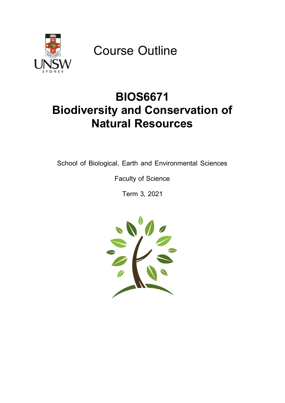

Course Outline

# **BIOS6671 Biodiversity and Conservation of Natural Resources**

School of Biological, Earth and Environmental Sciences

Faculty of Science

Term 3, 2021

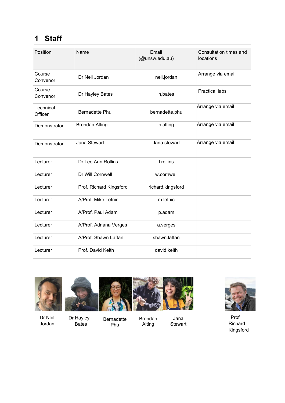# **1 Staff**

| Position             | Name                    | Email<br>(@unsw.edu.au) | Consultation times and<br>locations |
|----------------------|-------------------------|-------------------------|-------------------------------------|
| Course<br>Convenor   | Dr Neil Jordan          | neil.jordan             | Arrange via email                   |
| Course<br>Convenor   | Dr Hayley Bates         | h, bates                | <b>Practical labs</b>               |
| Technical<br>Officer | <b>Bernadette Phu</b>   | bernadette.phu          | Arrange via email                   |
| Demonstrator         | <b>Brendan Alting</b>   | b.alting                | Arrange via email                   |
| Demonstrator         | Jana Stewart            | Jana.stewart            | Arrange via email                   |
| Lecturer             | Dr Lee Ann Rollins      | I.rollins               |                                     |
| Lecturer             | Dr Will Cornwell        | w.cornwell              |                                     |
| Lecturer             | Prof. Richard Kingsford | richard.kingsford       |                                     |
| Lecturer             | A/Prof. Mike Letnic     | m.letnic                |                                     |
| Lecturer             | A/Prof. Paul Adam       | p.adam                  |                                     |
| Lecturer             | A/Prof. Adriana Verges  | a.verges                |                                     |
| Lecturer             | A/Prof. Shawn Laffan    | shawn.laffan            |                                     |
| Lecturer             | Prof. David Keith       | david.keith             |                                     |



Dr Neil Jordan





Bernadette Phu



Alting

Jana Stewart



Prof Richard Kingsford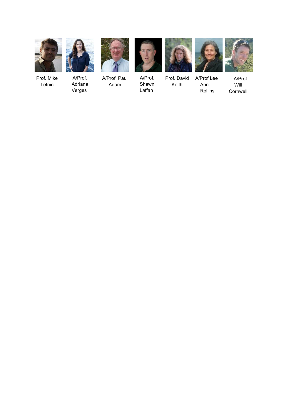



Verges

Prof. Mike Letnic

A/Prof. Adriana



A/Prof. Paul Adam



A/Prof. Shawn Laffan



Prof. David Keith A/Prof Lee Ann Rollins



A/Prof Will Cornwell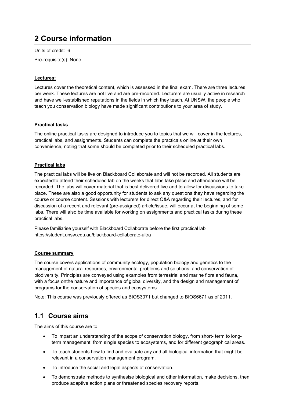# **2 Course information**

Units of credit: 6

Pre-requisite(s): None.

### **Lectures:**

Lectures cover the theoretical content, which is assessed in the final exam. There are three lectures per week. These lectures are not live and are pre-recorded. Lecturers are usually active in research and have well-established reputations in the fields in which they teach. At UNSW, the people who teach you conservation biology have made significant contributions to your area of study.

### **Practical tasks**

The online practical tasks are designed to introduce you to topics that we will cover in the lectures, practical labs, and assignments. Students can complete the practicals online at their own convenience, noting that some should be completed prior to their scheduled practical labs.

### **Practical labs**

The practical labs will be live on Blackboard Collaborate and will not be recorded. All students are expected to attend their scheduled lab on the weeks that labs take place and attendance will be recorded. The labs will cover material that is best delivered live and to allow for discussions to take place. These are also a good opportunity for students to ask any questions they have regarding the course or course content. Sessions with lecturers for direct Q&A regarding their lectures, and for discussion of a recent and relevant (pre-assigned) article/issue, will occur at the beginning of some labs. There will also be time available for working on assignments and practical tasks during these practical labs.

Please familiarise yourself with Blackboard Collaborate before the first practical lab <https://student.unsw.edu.au/blackboard-collaborate-ultra>

### **Course summary**

The course covers applications of community ecology, population biology and genetics to the management of natural resources, environmental problems and solutions, and conservation of biodiversity. Principles are conveyed using examples from terrestrial and marine flora and fauna, with a focus onthe nature and importance of global diversity, and the design and management of programs for the conservation of species and ecosystems.

Note: This course was previously offered as BIOS3071 but changed to BIOS6671 as of 2011.

### **1.1 Course aims**

The aims of this course are to:

- To impart an understanding of the scope of conservation biology, from short- term to longterm management, from single species to ecosystems, and for different geographical areas.
- To teach students how to find and evaluate any and all biological information that might be relevant in a conservation management program.
- To introduce the social and legal aspects of conservation.
- To demonstrate methods to synthesise biological and other information, make decisions, then produce adaptive action plans or threatened species recovery reports.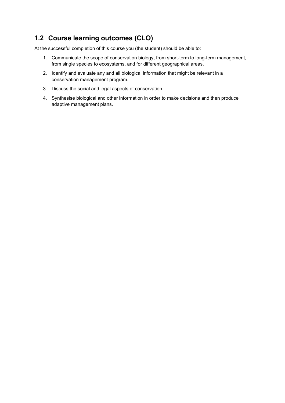# **1.2 Course learning outcomes (CLO)**

At the successful completion of this course you (the student) should be able to:

- 1. Communicate the scope of conservation biology, from short-term to long-term management, from single species to ecosystems, and for different geographical areas.
- 2. Identify and evaluate any and all biological information that might be relevant in a conservation management program.
- 3. Discuss the social and legal aspects of conservation.
- 4. Synthesise biological and other information in order to make decisions and then produce adaptive management plans.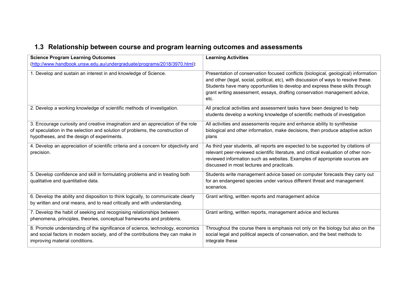# **1.3 Relationship between course and program learning outcomes and assessments**

| <b>Science Program Learning Outcomes</b>                                                                                                                                                                       | <b>Learning Activities</b>                                                                                                                                                                                                                                                                                                                        |
|----------------------------------------------------------------------------------------------------------------------------------------------------------------------------------------------------------------|---------------------------------------------------------------------------------------------------------------------------------------------------------------------------------------------------------------------------------------------------------------------------------------------------------------------------------------------------|
| (http://www.handbook.unsw.edu.au/undergraduate/programs/2018/3970.html):                                                                                                                                       |                                                                                                                                                                                                                                                                                                                                                   |
| 1. Develop and sustain an interest in and knowledge of Science.                                                                                                                                                | Presentation of conservation focused conflicts (biological, geological) information<br>and other (legal, social, political, etc), with discussion of ways to resolve these.<br>Students have many opportunities to develop and express these skills through<br>grant writing assessment, essays, drafting conservation management advice,<br>etc. |
| 2. Develop a working knowledge of scientific methods of investigation.                                                                                                                                         | All practical activities and assessment tasks have been designed to help<br>students develop a working knowledge of scientific methods of investigation                                                                                                                                                                                           |
| 3. Encourage curiosity and creative imagination and an appreciation of the role<br>of speculation in the selection and solution of problems, the construction of<br>hypotheses, and the design of experiments. | All activities and assessments require and enhance ability to synthesise<br>biological and other information, make decisions, then produce adaptive action<br>plans                                                                                                                                                                               |
| 4. Develop an appreciation of scientific criteria and a concern for objectivity and<br>precision.                                                                                                              | As third year students, all reports are expected to be supported by citations of<br>relevant peer-reviewed scientific literature, and critical evaluation of other non-<br>reviewed information such as websites. Examples of appropriate sources are<br>discussed in most lectures and practicals.                                               |
| 5. Develop confidence and skill in formulating problems and in treating both<br>qualitative and quantitative data.                                                                                             | Students write management advice based on computer forecasts they carry out<br>for an endangered species under various different threat and management<br>scenarios.                                                                                                                                                                              |
| 6. Develop the ability and disposition to think logically, to communicate clearly<br>by written and oral means, and to read critically and with understanding.                                                 | Grant writing, written reports and management advice                                                                                                                                                                                                                                                                                              |
| 7. Develop the habit of seeking and recognising relationships between<br>phenomena, principles, theories, conceptual frameworks and problems.                                                                  | Grant writing, written reports, management advice and lectures                                                                                                                                                                                                                                                                                    |
| 8. Promote understanding of the significance of science, technology, economics<br>and social factors in modern society, and of the contributions they can make in<br>improving material conditions.            | Throughout the course there is emphasis not only on the biology but also on the<br>social legal and political aspects of conservation, and the best methods to<br>integrate these                                                                                                                                                                 |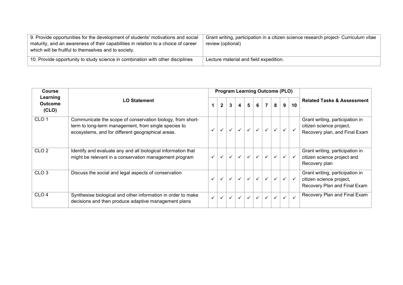| 9. Provide opportunities for the development of students' motivations and social<br>maturity, and an awareness of their capabilities in relation to a choice of career<br>which will be fruitful to themselves and to society. | Grant writing, participation in a citizen science research project- Curriculum vitae<br>review (optional) |
|--------------------------------------------------------------------------------------------------------------------------------------------------------------------------------------------------------------------------------|-----------------------------------------------------------------------------------------------------------|
| 10. Provide opportunity to study science in combination with other disciplines                                                                                                                                                 | Lecture material and field expedition.                                                                    |

| <b>Course</b>                       |                                                                                                                                                                         |              |                |              |                         |                | <b>Program Learning Outcome (PLO)</b> |  |   |   |    |                                                                                              |
|-------------------------------------|-------------------------------------------------------------------------------------------------------------------------------------------------------------------------|--------------|----------------|--------------|-------------------------|----------------|---------------------------------------|--|---|---|----|----------------------------------------------------------------------------------------------|
| Learning<br><b>Outcome</b><br>(CLO) | <b>LO Statement</b>                                                                                                                                                     |              | $\overline{2}$ | $\mathbf{3}$ | $\overline{\mathbf{4}}$ | 5 <sup>5</sup> | $6\overline{6}$                       |  | 8 | 9 | 10 | <b>Related Tasks &amp; Assessment</b>                                                        |
| CLO <sub>1</sub>                    | Communicate the scope of conservation biology, from short-<br>term to long-term management, from single species to<br>ecosystems, and for different geographical areas. |              |                | $\checkmark$ | $\checkmark$            | $\checkmark$   |                                       |  |   |   |    | Grant writing, participation in<br>citizen science project,<br>Recovery plan, and Final Exam |
| CLO <sub>2</sub>                    | Identify and evaluate any and all biological information that<br>might be relevant in a conservation management program                                                 |              |                | $\checkmark$ | $\checkmark$            | $\checkmark$   |                                       |  |   |   |    | Grant writing, participation in<br>citizen science project and<br>Recovery plan              |
| CLO <sub>3</sub>                    | Discuss the social and legal aspects of conservation                                                                                                                    |              |                | $\checkmark$ | $\checkmark$            | $\checkmark$   | $\checkmark$                          |  |   |   |    | Grant writing, participation in<br>citizen science project,<br>Recovery Plan and Final Exam  |
| CLO <sub>4</sub>                    | Synthesise biological and other information in order to make<br>decisions and then produce adaptive management plans                                                    | $\checkmark$ | $\checkmark$   | $\checkmark$ | $\checkmark$            | ✓              |                                       |  |   |   |    | Recovery Plan and Final Exam                                                                 |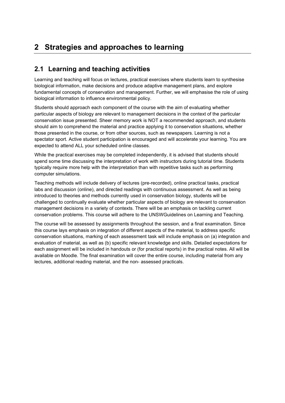# **2 Strategies and approaches to learning**

### **2.1 Learning and teaching activities**

Learning and teaching will focus on lectures, practical exercises where students learn to synthesise biological information, make decisions and produce adaptive management plans, and explore fundamental concepts of conservation and management. Further, we will emphasise the role of using biological information to influence environmental policy.

Students should approach each component of the course with the aim of evaluating whether particular aspects of biology are relevant to management decisions in the context of the particular conservation issue presented. Sheer memory work is NOT a recommended approach, and students should aim to comprehend the material and practice applying it to conservation situations, whether those presented in the course, or from other sources, such as newspapers. Learning is not a spectator sport. Active student participation is encouraged and will accelerate your learning. You are expected to attend ALL your scheduled online classes.

While the practical exercises may be completed independently, it is advised that students should spend some time discussing the interpretation of work with instructors during tutorial time. Students typically require more help with the interpretation than with repetitive tasks such as performing computer simulations.

Teaching methods will include delivery of lectures (pre-recorded), online practical tasks, practical labs and discussion (online), and directed readings with continuous assessment. As well as being introduced to theories and methods currently used in conservation biology, students will be challenged to continually evaluate whether particular aspects of biology are relevant to conservation management decisions in a variety of contexts. There will be an emphasis on tackling current conservation problems. This course will adhere to the UNSWGuidelines on Learning and Teaching.

The course will be assessed by assignments throughout the session, and a final examination. Since this course lays emphasis on integration of different aspects of the material, to address specific conservation situations, marking of each assessment task will include emphasis on (a) integration and evaluation of material, as well as (b) specific relevant knowledge and skills. Detailed expectations for each assignment will be included in handouts or (for practical reports) in the practical notes. All will be available on Moodle. The final examination will cover the entire course, including material from any lectures, additional reading material, and the non- assessed practicals.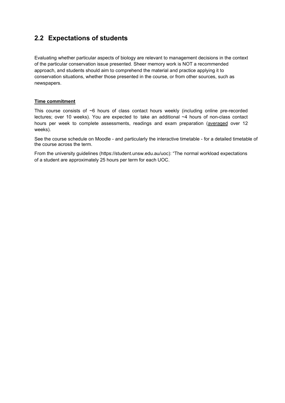# **2.2 Expectations of students**

Evaluating whether particular aspects of biology are relevant to management decisions in the context of the particular conservation issue presented. Sheer memory work is NOT a recommended approach, and students should aim to comprehend the material and practice applying it to conservation situations, whether those presented in the course, or from other sources, such as newspapers.

### **Time commitment**

This course consists of ~6 hours of class contact hours weekly (including online pre-recorded lectures; over 10 weeks). You are expected to take an additional ~4 hours of non-class contact hours per week to complete assessments, readings and exam preparation (averaged over 12 weeks).

See the course schedule on Moodle - and particularly the interactive timetable - for a detailed timetable of the course across the term.

From the university guidelines (https://student.unsw.edu.au/uoc): "The normal workload expectations of a student are approximately 25 hours per term for each UOC.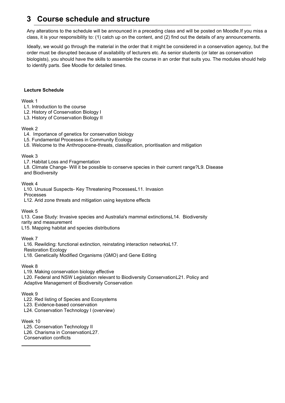# **3 Course schedule and structure**

Any alterations to the schedule will be announced in a preceding class and will be posted on Moodle.If you miss a class, it is your responsibility to: (1) catch up on the content, and (2) find out the details of any announcements.

Ideally, we would go through the material in the order that it might be considered in a conservation agency, but the order must be disrupted because of availability of lecturers etc. As senior students (or later as conservation biologists), you should have the skills to assemble the course in an order that suits you. The modules should help to identify parts. See Moodle for detailed times.

### **Lecture Schedule**

### Week 1

- L1. Introduction to the course
- L2. History of Conservation Biology I
- L3. History of Conservation Biology II

### Week 2

- L4. Importance of genetics for conservation biology
- L5. Fundamental Processes in Community Ecology
- L6. Welcome to the Anthropocene-threats, classification, prioritisation and mitigation

### Week 3

- L7. Habitat Loss and Fragmentation
- L8. Climate Change- Will it be possible to conserve species in their current range?L9. Disease and Biodiversity

### Week 4

- L10. Unusual Suspects- Key Threatening ProcessesL11. Invasion Processes
- L12. Arid zone threats and mitigation using keystone effects

Week 5

L13. Case Study: Invasive species and Australia's mammal extinctionsL14. Biodiversity

rarity and measurement

L15. Mapping habitat and species distributions

### Week 7

L16. Rewilding: functional extinction, reinstating interaction networksL17.

Restoration Ecology

L18. Genetically Modified Organisms (GMO) and Gene Editing

### Week 8

L19. Making conservation biology effective

L20. Federal and NSW Legislation relevant to Biodiversity ConservationL21. Policy and Adaptive Management of Biodiversity Conservation

### Week 9

L22. Red listing of Species and Ecosystems

L23. Evidence-based conservation

L24. Conservation Technology I (overview)

### Week 10

- L25. Conservation Technology II
- L26. Charisma in ConservationL27.
- Conservation conflicts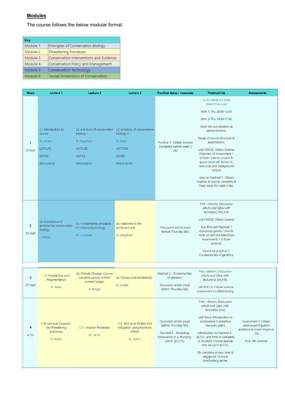### **Modules**

The course follows the below modular format.

| Key      |                                         |
|----------|-----------------------------------------|
| Module 1 | Principles of Conservation Biology      |
| Module 2 | Threatening Processes                   |
| Module 3 | Conservation Interventions and Evidence |
| Module 4 | Conservation Policy and Management      |
| Module 5 | Conservation Technology                 |
| Module 6 | Social Dimensions of Conservation       |

| <b>Week</b>               | Lecture 1                                                                                        | Lecture 2                                                                       | Lecture 3                                                                                                                                   | Practical tasks / resources                                                                                                | Practical/lab                                                                                                                                                                                                                                                                                                                                                                                                                                             | <b>Assessments</b>                                                                                     |
|---------------------------|--------------------------------------------------------------------------------------------------|---------------------------------------------------------------------------------|---------------------------------------------------------------------------------------------------------------------------------------------|----------------------------------------------------------------------------------------------------------------------------|-----------------------------------------------------------------------------------------------------------------------------------------------------------------------------------------------------------------------------------------------------------------------------------------------------------------------------------------------------------------------------------------------------------------------------------------------------------|--------------------------------------------------------------------------------------------------------|
| $\mathbf{1}$<br>13 Sept   | L1. Introduction to<br>course<br>N. Jordan<br><b>LECTURE</b><br><b>NOTES</b><br><b>RESOURCES</b> | biology I<br>R. Kingsford<br><b>LECTURE</b><br><b>NOTES</b><br><b>RESOURCES</b> | L2. A history of conservation L3. A history of conservation<br>biology II<br>H. Bates<br><b>LECTURE</b><br><b>NOTES</b><br><b>RESOURCES</b> | Practical 1- Citizen Science<br>(complete before week 2<br>lab)                                                            | <b>CLICK HERE TO JOIN</b><br>PRACTICAL LAB<br>Strm 1: Thu 09:00-12:00<br>Strm 2: Thu 14:00-17:00<br>Meet the coordinators &<br>demonstrators.<br>Recap of course structure &<br>expectations.<br>LAB FOCUS: Citizen Science<br>Overview of Assessment 1<br>(Citizen science project &<br>grant proposal) Access to<br>resources and background<br>lecture<br>Intro to Practical 1- Citizen<br>Science & time to complete it<br>here ready for week 2 lab. |                                                                                                        |
| $\overline{2}$<br>20 Sept | L4. Importance of<br>genetics for conservation<br>biology<br>L. Rollins                          | L5. Fundamental processes<br>in community ecology<br>W. Cornwell                | L6. Welcome to the<br>Anthropocene<br>R. Kingsford                                                                                          | Discussion article (read<br>before Thursday lab)                                                                           | First ~45mins. Discussion<br>article and Q&A with<br>lecturer(s) (WC/HB)<br>LAB FOCUS: Citizen Science<br>Run through Practical 1<br>discussion points. Time to<br>work on and trouble-shoot<br>Assessment 1 (Citizen<br>science).<br>Introduce practical 2:<br>Fundamentals of genetics.                                                                                                                                                                 |                                                                                                        |
| 3                         | L7. Habitat loss and                                                                             | L8. Climate Change- Can we                                                      |                                                                                                                                             | Practical 2 - Fundamentals                                                                                                 | First ~45mins. Discussion<br>article and Q&A with                                                                                                                                                                                                                                                                                                                                                                                                         |                                                                                                        |
| 27 Sept                   | Fragmentation<br>H. Bates                                                                        | conserve species in their<br>current range?<br>A. Verges                        | L9. Disease and Biodiversity<br>N. Jordan                                                                                                   | of genetics<br>Discussion article (read<br>before Thursday lab)                                                            | lecturer(s) (AV/HB).<br>LAB FOCUS: Citizen science<br>assessment troubleshooting                                                                                                                                                                                                                                                                                                                                                                          |                                                                                                        |
| 4<br>4 Oct                | L10. Unusual Suspects-<br>key threatening<br>processes<br>P. Adam                                | L11. Invasion Processes<br>M. Letnic                                            | L12. Arid zone threats and<br>mitigation using keystone<br>effects<br>M. Letnic                                                             | Discussion article (read<br>before Thursday lab)<br>Practical 3 - Modelling<br>Biodiversity in a changing<br>world (BCCVL) | First ~45mins: Discussion<br>article and Q&A with<br>lecturer(s) (ML).<br>LAB focus: Introduction to<br>Assessment 3 (Adaptive<br>Recovery plan).<br>Introduction to Practical 3 -<br>BCCVL, and time to complete<br>it. Students choose species<br>and set up in BCCVL.<br>(To complete in own time &<br>staggered, to avoid<br>overloading server)                                                                                                      | Assessment 1: Citizen<br>Science participation<br>evidence & Grant Proposal<br>15%<br>DUE: 5th October |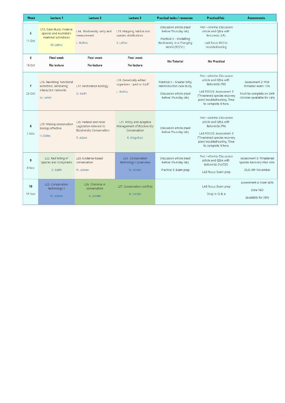| <b>Week</b>  | Lecture 1                                                                                  | Lecture 2                                                                                             | Lecture 3                                                                              | Practical tasks / resources                                                                                                | Practical/lab                                                                                                                                                                                  | <b>Assessments</b>                                                                                  |
|--------------|--------------------------------------------------------------------------------------------|-------------------------------------------------------------------------------------------------------|----------------------------------------------------------------------------------------|----------------------------------------------------------------------------------------------------------------------------|------------------------------------------------------------------------------------------------------------------------------------------------------------------------------------------------|-----------------------------------------------------------------------------------------------------|
| 5<br>11 Oct  | L13. Case study: Invasive<br>species and Australia's<br>mammal extinctions<br>M. Letnic    | L14. Biodiversity rarity and<br>measurement<br>L. Rollins                                             | L15. Mapping habitat and<br>species distributions<br>S. Laffan                         | Discussion article (read<br>before Thursday lab)<br>Practical 3 - Modelling<br>Biodiversity in a Changing<br>World (BCCVL) | First ~45mins: Discussion<br>article and Q&A with<br>lecturer(s) (LR).<br>LAB focus: BCCVL<br>troubleshooting                                                                                  |                                                                                                     |
| 6            | <b>Flexi</b> week                                                                          | <b>Flexi</b> week                                                                                     | <b>Flexi</b> week                                                                      | <b>No Tutorial</b>                                                                                                         | <b>No Practical</b>                                                                                                                                                                            |                                                                                                     |
| 18 Oct       | No lecture                                                                                 | No lecture                                                                                            | No lecture                                                                             |                                                                                                                            |                                                                                                                                                                                                |                                                                                                     |
| 7<br>25 Oct  | L16. Rewilding: functional<br>extinction, reinstating<br>interaction networks<br>M. Letnic | L17. Restoration Ecology<br>D. Keith                                                                  | L18. Genetically edited<br>organisms - pest or tool?<br>L. Rollins                     | Practical 4 - Greater bilby<br>reintroduction case study<br>Discussion article (read<br>before Thursday lab)               | First ~45mins: Discussion<br>article and Q&A with<br>lecturer(s) (RK)<br><b>LAB FOCUS: Assessment 3</b><br>(Threatened species recovery<br>plan) troubleshooting. Time<br>to complete it here. | Assessment 2: Mid-<br>Trimester exam 15%<br>Must be complete on 26th<br>October (available for 24h) |
| 8<br>1 Nov   | L19. Making conservation<br>biology effective<br>H. Bates                                  | <b>L20. Federal and NSW</b><br>Legislation relevant to<br><b>Biodiversity Conservation</b><br>P. Adam | L21. Policy and Adaptive<br>Management of Biodiversity<br>Conservation<br>R. Kingsford | Discussion article (read<br>before Thursday lab)                                                                           | First ~45mins: Discussion<br>article and Q&A with<br>lecturer(s) (PA)<br>LAB FOCUS: Assessment 3<br>(Threatened species recovery<br>plan) troubleshooting. Time<br>to complete it here.        |                                                                                                     |
| 9<br>8 Nov   | L22. Red listing of<br>Species and Ecosystems<br>D. Keith                                  | L23. Evidence-based<br>conservation<br>N. Jordan                                                      | L24. Conservation<br>Technology I (overview)<br>N. Jordan                              | Discussion article (read<br>before Thursday lab)<br>Practical 5: Exam prep                                                 | First ~45mins: Discussion<br>article and Q&A with<br>lecturer(s) (NJ/DK)<br>LAB focus: Exam prep                                                                                               | Assessment 3: Threatened<br>Species Recovery Plan 30%<br>DUE: 9th November                          |
| 10<br>15 Nov | L25. Conservation<br>Technology II<br>N. Jordan                                            | L <sub>26</sub> . Charisma in<br>conservation<br>N. Jordan                                            | L27. Conservation conflicts<br>N. Jordan                                               |                                                                                                                            | LAB focus: Exam prep<br>Drop in Q & A                                                                                                                                                          | Assessment 4: Exam 40%<br>Date TBD<br>(available for 24h)                                           |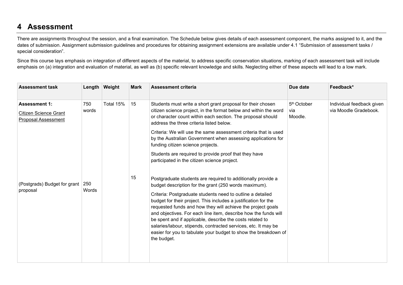# **4 Assessment**

There are assignments throughout the session, and a final examination. The Schedule below gives details of each assessment component, the marks assigned to it, and the dates of submission. Assignment submission guidelines and procedures for obtaining assignment extensions are available under [4.1 "Submission of assessment tasks /](#page-14-0) special [consideration"](#page-14-0).

Since this course lays emphasis on integration of different aspects of the material, to address specific conservation situations, marking of each assessment task will include emphasis on (a) integration and evaluation of material, as well as (b) specific relevant knowledge and skills. Neglecting either of these aspects will lead to a low mark.

| <b>Assessment task</b>                                                             |              | Length Weight | <b>Mark</b> | <b>Assessment criteria</b>                                                                                                                                                                                                                                                                                                                                                                                                                                                                                                                                                                  | Due date                                  | Feedback*                                          |
|------------------------------------------------------------------------------------|--------------|---------------|-------------|---------------------------------------------------------------------------------------------------------------------------------------------------------------------------------------------------------------------------------------------------------------------------------------------------------------------------------------------------------------------------------------------------------------------------------------------------------------------------------------------------------------------------------------------------------------------------------------------|-------------------------------------------|----------------------------------------------------|
| <b>Assessment 1:</b><br><b>Citizen Science Grant</b><br><b>Proposal Assessment</b> | 750<br>words | Total 15%     | 15<br>15    | Students must write a short grant proposal for their chosen<br>citizen science project, in the format below and within the word<br>or character count within each section. The proposal should<br>address the three criteria listed below.<br>Criteria: We will use the same assessment criteria that is used<br>by the Australian Government when assessing applications for<br>funding citizen science projects.<br>Students are required to provide proof that they have<br>participated in the citizen science project.<br>Postgraduate students are required to additionally provide a | 5 <sup>th</sup> October<br>via<br>Moodle. | Individual feedback given<br>via Moodle Gradebook. |
| (Postgrads) Budget for grant<br>proposal                                           | 250<br>Words |               |             | budget description for the grant (250 words maximum).<br>Criteria: Postgraduate students need to outline a detailed<br>budget for their project. This includes a justification for the<br>requested funds and how they will achieve the project goals<br>and objectives. For each line item, describe how the funds will<br>be spent and if applicable, describe the costs related to<br>salaries/labour, stipends, contracted services, etc. It may be<br>easier for you to tabulate your budget to show the breakdown of<br>the budget.                                                   |                                           |                                                    |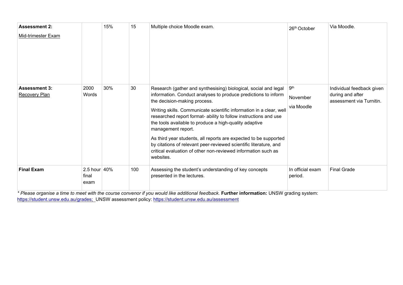| <b>Assessment 2:</b>                         |                           | 15% | 15  | Multiple choice Moodle exam.                                                                                                                                                                                                                                                                                                                                                                                                                                                                                                                                                                                        | 26th October                              | Via Moodle.                                                               |
|----------------------------------------------|---------------------------|-----|-----|---------------------------------------------------------------------------------------------------------------------------------------------------------------------------------------------------------------------------------------------------------------------------------------------------------------------------------------------------------------------------------------------------------------------------------------------------------------------------------------------------------------------------------------------------------------------------------------------------------------------|-------------------------------------------|---------------------------------------------------------------------------|
| Mid-trimester Exam                           |                           |     |     |                                                                                                                                                                                                                                                                                                                                                                                                                                                                                                                                                                                                                     |                                           |                                                                           |
| <b>Assessment 3:</b><br><b>Recovery Plan</b> | 2000<br>Words             | 30% | 30  | Research (gather and synthesising) biological, social and legal<br>information. Conduct analyses to produce predictions to inform<br>the decision-making process.<br>Writing skills. Communicate scientific information in a clear, well<br>researched report format- ability to follow instructions and use<br>the tools available to produce a high-quality adaptive<br>management report.<br>As third year students, all reports are expected to be supported<br>by citations of relevant peer-reviewed scientific literature, and<br>critical evaluation of other non-reviewed information such as<br>websites. | 9 <sup>th</sup><br>November<br>via Moodle | Individual feedback given<br>during and after<br>assessment via Turnitin. |
| <b>Final Exam</b>                            | 2.5 hour<br>final<br>exam | 40% | 100 | Assessing the student's understanding of key concepts<br>presented in the lectures.                                                                                                                                                                                                                                                                                                                                                                                                                                                                                                                                 | In official exam<br>period.               | <b>Final Grade</b>                                                        |

*\* Please organise a time to meet with the course convenor if you would like additional feedback.* **Further information:** UNSW grading system: <u>[https://student.unsw.edu.au/grades;](https://student.unsw.edu.au/grades)</u> UNSW assessment policy: <u><https://student.unsw.edu.au/assessment></u>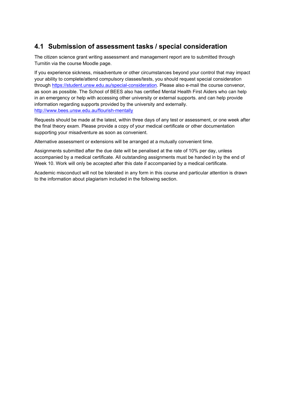# <span id="page-14-0"></span>**4.1 Submission of assessment tasks / special consideration**

The citizen science grant writing assessment and management report are to submitted through Turnitin via the course Moodle page.

If you experience sickness, misadventure or other circumstances beyond your control that may impact your ability to complete/attend compulsory classes/tests, you should request special consideration through [https://student.unsw.edu.au/special-consideration.](https://student.unsw.edu.au/special-consideration) Please also e-mail the course convenor, as soon as possible. The School of BEES also has certified Mental Health First Aiders who can help in an emergency or help with accessing other university or external supports. and can help provide information regarding supports provided by the university and externally. <http://www.bees.unsw.edu.au/flourish-mentally>

Requests should be made at the latest, within three days of any test or assessment, or one week after the final theory exam. Please provide a copy of your medical certificate or other documentation supporting your misadventure as soon as convenient.

Alternative assessment or extensions will be arranged at a mutually convenient time.

Assignments submitted after the due date will be penalised at the rate of 10% per day, unless accompanied by a medical certificate. All outstanding assignments must be handed in by the end of Week 10. Work will only be accepted after this date if accompanied by a medical certificate.

Academic misconduct will not be tolerated in any form in this course and particular attention is drawn to the information about plagiarism included in the following section.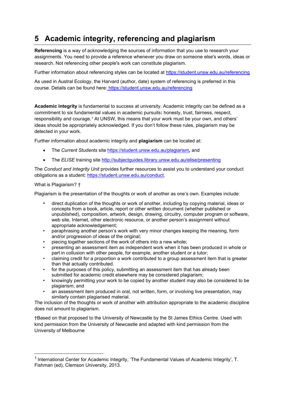# **5 Academic integrity, referencing and plagiarism**

**Referencing** is a way of acknowledging the sources of information that you use to research your assignments. You need to provide a reference whenever you draw on someone else's words, ideas or research. Not referencing other people's work can constitute plagiarism.

Further information about referencing styles can be located at <https://student.unsw.edu.au/referencing>

As used in Austral Ecology, the Harvard (author, date) system of referencing is preferred in this course. Details can be found here: https://student.unsw.edu.au/referencing

**Academic integrity** is fundamental to success at university. Academic integrity can be defined as a commitment to six fundamental values in academic pursuits**:** honesty, trust, fairness, respect, responsibility and courage.*<sup>1</sup>* At UNSW, this means that your work must be your own, and others' ideas should be appropriately acknowledged. If you don't follow these rules, plagiarism may be detected in your work.

Further information about academic integrity and **plagiarism** can be located at:

- The *Current Students* site <https://student.unsw.edu.au/plagiarism>*,* and
- The *ELISE* training site <http://subjectguides.library.unsw.edu.au/elise/presenting>

The *Conduct and Integrity Unit* provides further resources to assist you to understand your conduct obligations as a student: [https://student.unsw.edu.au/conduct.](https://student.unsw.edu.au/conduct)

### What is Plagiarism? †

Plagiarism is the presentation of the thoughts or work of another as one's own. Examples include:

- direct duplication of the thoughts or work of another, including by copying material, ideas or concepts from a book, article, report or other written document (whether published or unpublished), composition, artwork, design, drawing, circuitry, computer program or software, web site, Internet, other electronic resource, or another person's assignment without appropriate acknowledgement;
- paraphrasing another person's work with very minor changes keeping the meaning, form and/or progression of ideas of the original;
- piecing together sections of the work of others into a new whole;
- presenting an assessment item as independent work when it has been produced in whole or part in collusion with other people, for example, another student or a tutor;
- claiming credit for a proportion a work contributed to a group assessment item that is greater than that actually contributed.
- for the purposes of this policy, submitting an assessment item that has already been submitted for academic credit elsewhere may be considered plagiarism;
- knowingly permitting your work to be copied by another student may also be considered to be plagiarism; and
- an assessment item produced in oral, not written, form, or involving live presentation, may similarly contain plagiarised material.

The inclusion of the thoughts or work of another with attribution appropriate to the academic discipline does not amount to plagiarism.

†Based on that proposed to the University of Newcastle by the St James Ethics Centre. Used with kind permission from the University of Newcastle and adapted with kind permission from the University of Melbourne

<sup>&</sup>lt;sup>1</sup> International Center for Academic Integrity, 'The Fundamental Values of Academic Integrity', T. Fishman (ed), Clemson University, 2013.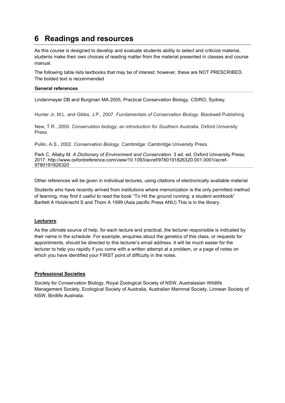# **6 Readings and resources**

As this course is designed to develop and evaluate students ability to select and criticize material, students make their own choices of reading matter from the material presented in classes and course manual.

The following table lists textbooks that may be of interest; however, these are NOT PRESCRIBED. The bolded text is recommended

### **General references**

Lindenmayer DB and Burgman MA 2005, Practical Conservation Biology. CSIRO, Sydney.

Hunter Jr, M.L. and Gibbs, J.P., 2007. *Fundamentals of Conservation Biology*. Blackwell Publishing

New, T.R., 2000. *Conservation biology: an introduction for Southern Australia*. Oxford University Press.

Pullin, A.S., 2002. *Conservation Biology*. Cambridge: Cambridge University Press.

Park C, Allaby M. *A Dictionary of Environment and Conservation*. 3 ed. ed. Oxford University Press; 2017. <http://www.oxfordreference.com/view/10.1093/acref/9780191826320.001.0001/acref->9780191826320

Other references will be given in individual lectures, using citations of electronically available material

Students who have recently arrived from institutions where memorization is the only permitted method of learning, may find it useful to read the book "To Hit the ground running: a student workbook" Bartlett A Holzknecht S and Thom A 1999 (Asia pacific Press ANU) This is in the library.

### **Lecturers**:

As the ultimate source of help, for each lecture and practical, the lecturer responsible is indicated by their name in the schedule. For example, enquiries about the genetics of this class, or requests for appointments, should be directed to this lecturer's email address. It will be much easier for the lecturer to help you rapidly if you come with a written attempt at a problem, or a page of notes on which you have identified your FIRST point of difficulty in the notes.

### **Professional Societies**

Society for Conservation Biology, Royal Zoological Society of NSW, Australasian Wildlife Management Society, Ecological Society of Australia, Australian Mammal Society, Linnean Society of NSW, Birdlife Australia.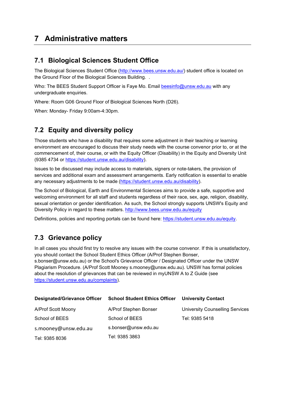# **7 Administrative matters**

### **7.1 Biological Sciences Student Office**

The Biological Sciences Student Office [\(http://www.bees.unsw.edu.au/\)](http://www.bees.unsw.edu.au/) student office is located on the Ground Floor of the Biological Sciences Building. .

Who: The BEES Student Support Officer is Faye Mo. Email [beesinfo@unsw.edu.au](mailto:beesinfo@unsw.edu.au) with any undergraduate enquiries.

Where: Room G06 Ground Floor of Biological Sciences North (D26).

When: Monday- Friday 9:00am-4:30pm.

### **7.2 Equity and diversity policy**

Those students who have a disability that requires some adjustment in their teaching or learning environment are encouraged to discuss their study needs with the course convenor prior to, or at the commencement of, their course, or with the Equity Officer (Disability) in the Equity and Diversity Unit (9385 4734 or [https://student.unsw.edu.au/disability\)](https://student.unsw.edu.au/disability).

Issues to be discussed may include access to materials, signers or note-takers, the provision of services and additional exam and assessment arrangements. Early notification is essential to enable any necessary adjustments to be made [\(https://student.unsw.edu.au/disability\)](https://student.unsw.edu.au/disability).

The School of Biological, Earth and Environmental Sciences aims to provide a safe, supportive and welcoming environment for all staff and students regardless of their race, sex, age, religion, disability, sexual orientation or gender identification. As such, the School strongly supports UNSW's Equity and Diversity Policy in regard to these matters.<http://www.bees.unsw.edu.au/equity>

Definitions, policies and reporting portals can be found here: [https://student.unsw.edu.au/equity.](https://student.unsw.edu.au/equity)

### **7.3 Grievance policy**

In all cases you should first try to resolve any issues with the course convenor. If this is unsatisfactory, you should contact the School Student Ethics Officer (A/Prof Stephen Bonser, s.bonser@unsw.edu.au) or the School's Grievance Officer / Designated Officer under the UNSW Plagiarism Procedure. (A/Prof Scott Mooney s.mooney@unsw.edu.au). UNSW has formal policies about the resolution of grievances that can be reviewed in myUNSW A to Z Guide (see [https://student.unsw.edu.au/complaints\)](https://student.unsw.edu.au/complaints).

| <b>Designated/Grievance Officer</b> | <b>School Student Ethics Officer</b> | <b>University Contact</b>              |
|-------------------------------------|--------------------------------------|----------------------------------------|
| A/Prof Scott Moony                  | A/Prof Stephen Bonser                | <b>University Counselling Services</b> |
| School of BEES                      | School of BEES                       | Tel: 9385 5418                         |
| s.mooney@unsw.edu.au                | s.bonser@unsw.edu.au                 |                                        |
| Tel: 9385 8036                      | Tel: 9385 3863                       |                                        |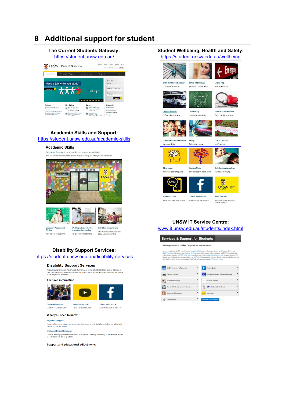# **8 Additional support for student**

### **The Current Students Gateway:** <https://student.unsw.edu.au/>



### **Academic Skills and Support:**

### <https://student.unsw.edu.au/academic-skills>

#### **Academic Skills**

The Learning Centre wants you to make the most of your university studies Here you will find resources and support to help you develop and refine your aca mic eville







**Essay and Assignment**<br>Writing Resources to help you with **Working with Academic<br>Integrity online module** For good academic practice

Individual consultations One-on-one support and advice<br>about assignment writing

Disability services on fac

#### **Disability Support Services:**

#### <https://student.unsw.edu.au/disability-services>

### **Disability Support Services**

Figure and the demands of university as well as a health condition, learning disability or<br>have personal circumstances that are having an impact on your studies, our disability services may be able<br>to provide you with assi

#### **Featured information**



Raising awareness video

Disability services program

#### What you need to know

**Register for support** 

If you want to receive support during your time at university for your disability needs then you will need to<br>register for disability support.

Overview of disability services

Overview or unsauriny services<br>Discover the things you need to know about studying with a disability at university as well as some answers<br>to some commonly asked questions.

#### **Support and educational adjustments**

### **Student Wellbeing, Health and Safety:**

<https://student.unsw.edu.au/wellbeing>





Sexual misconduct

个个

Counselling

Individual and

**Student Minds** 

Student voice on me

Join us on facebook

Wellbeing and safety page

**T** 

Same sex marriage debate Courselling newsfaller

 $\overline{1}$ C

Urgent help Emergency contacts Harassment, assault, rape

Emer



Campus security 24/7 security on campus



**EARTH** D.

LGBTIQ support

Medical health services

Doctor, dentist, pharmacy

Discrimination / harassment Safety Know your rights Online safety tutorial





Mind smart **Polf hole vide** 

**Bullying & cyberbullying** Put a stop to bullying



 $\blacksquare$  $\boxed{\text{UNSW}}_{\text{stagger}}^{\text{Auptrain}}$ 

**UNSWalert SMS** Emergency notificat

More contacts Wellbeing, health and safety

#### **UNSW IT Service Centre:** [www.it.unsw.edu.au/students/index.html](http://www.it.unsw.edu.au/students/index.html)

**Services & Support for Students** 

#### Getting started at UNSW - a guide for new students

As a new student at UNSW you will receive a student ID when you collect your student card. You use this as y<br>UNSW commine with ethnic your 27 is no Val-Para password to access online resources at UNSW C start students.<br>Iap

| UNSW Username & Passwords<br>isu. |           | Student Email                           |  |
|-----------------------------------|-----------|-----------------------------------------|--|
| Campus Printers                   | ۰         | UniWide Wireless & Residential Internet |  |
| Student File Storage              | ۰         | Eduroam Wireless                        |  |
| Research Data Management Services | $\ddot{}$ | Software & Hardware                     |  |
| Reference & Resources             | ۰         | myAccess                                |  |
| Training Portal                   |           | <b>UNSW IT Hero Program</b>             |  |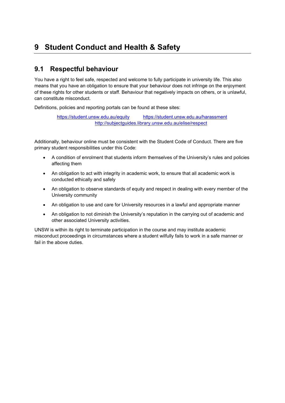# **9 Student Conduct and Health & Safety**

### **9.1 Respectful behaviour**

You have a right to feel safe, respected and welcome to fully participate in university life. This also means that you have an obligation to ensure that your behaviour does not infringe on the enjoyment of these rights for other students or staff. Behaviour that negatively impacts on others, or is unlawful, can constitute misconduct.

Definitions, policies and reporting portals can be found at these sites:

<https://student.unsw.edu.au/equity> <https://student.unsw.edu.au/harassment> <http://subjectguides.library.unsw.edu.au/elise/respect>

Additionally, behaviour online must be consistent with the Student Code of Conduct. There are five primary student responsibilities under this Code:

- A condition of enrolment that students inform themselves of the University's rules and policies affecting them
- An obligation to act with integrity in academic work, to ensure that all academic work is conducted ethically and safely
- An obligation to observe standards of equity and respect in dealing with every member of the University community
- An obligation to use and care for University resources in a lawful and appropriate manner
- An obligation to not diminish the University's reputation in the carrying out of academic and other associated University activities.

UNSW is within its right to terminate participation in the course and may institute academic misconduct proceedings in circumstances where a student wilfully fails to work in a safe manner or fail in the above duties.